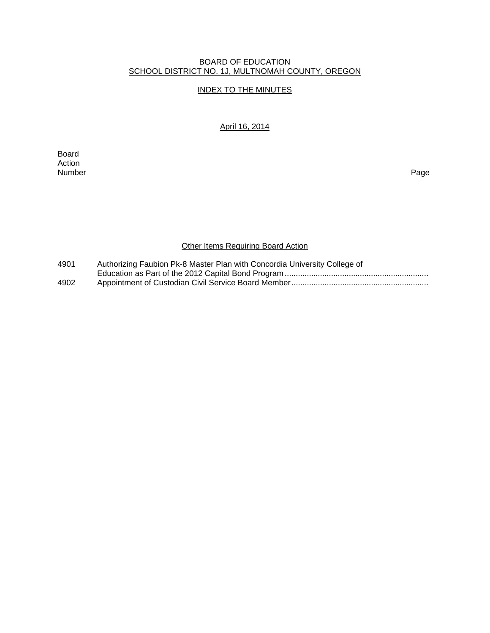# BOARD OF EDUCATION SCHOOL DISTRICT NO. 1J, MULTNOMAH COUNTY, OREGON

# INDEX TO THE MINUTES

# April 16, 2014

Board Action<br>Number Number Page

# **Other Items Requiring Board Action**

| 4901 | Authorizing Faubion Pk-8 Master Plan with Concordia University College of |
|------|---------------------------------------------------------------------------|
|      |                                                                           |
| 4902 |                                                                           |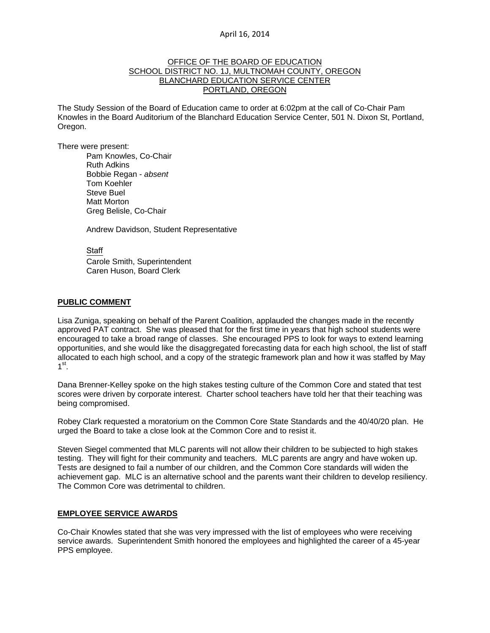### April 16, 2014

#### OFFICE OF THE BOARD OF EDUCATION SCHOOL DISTRICT NO. 1J, MULTNOMAH COUNTY, OREGON BLANCHARD EDUCATION SERVICE CENTER PORTLAND, OREGON

The Study Session of the Board of Education came to order at 6:02pm at the call of Co-Chair Pam Knowles in the Board Auditorium of the Blanchard Education Service Center, 501 N. Dixon St, Portland, Oregon.

There were present: Pam Knowles, Co-Chair

Ruth Adkins Bobbie Regan - *absent*  Tom Koehler Steve Buel Matt Morton Greg Belisle, Co-Chair

Andrew Davidson, Student Representative

Staff

 Carole Smith, Superintendent Caren Huson, Board Clerk

#### **PUBLIC COMMENT**

Lisa Zuniga, speaking on behalf of the Parent Coalition, applauded the changes made in the recently approved PAT contract. She was pleased that for the first time in years that high school students were encouraged to take a broad range of classes. She encouraged PPS to look for ways to extend learning opportunities, and she would like the disaggregated forecasting data for each high school, the list of staff allocated to each high school, and a copy of the strategic framework plan and how it was staffed by May  $1<sup>st</sup>$ .

Dana Brenner-Kelley spoke on the high stakes testing culture of the Common Core and stated that test scores were driven by corporate interest. Charter school teachers have told her that their teaching was being compromised.

Robey Clark requested a moratorium on the Common Core State Standards and the 40/40/20 plan. He urged the Board to take a close look at the Common Core and to resist it.

Steven Siegel commented that MLC parents will not allow their children to be subjected to high stakes testing. They will fight for their community and teachers. MLC parents are angry and have woken up. Tests are designed to fail a number of our children, and the Common Core standards will widen the achievement gap. MLC is an alternative school and the parents want their children to develop resiliency. The Common Core was detrimental to children.

#### **EMPLOYEE SERVICE AWARDS**

Co-Chair Knowles stated that she was very impressed with the list of employees who were receiving service awards. Superintendent Smith honored the employees and highlighted the career of a 45-year PPS employee.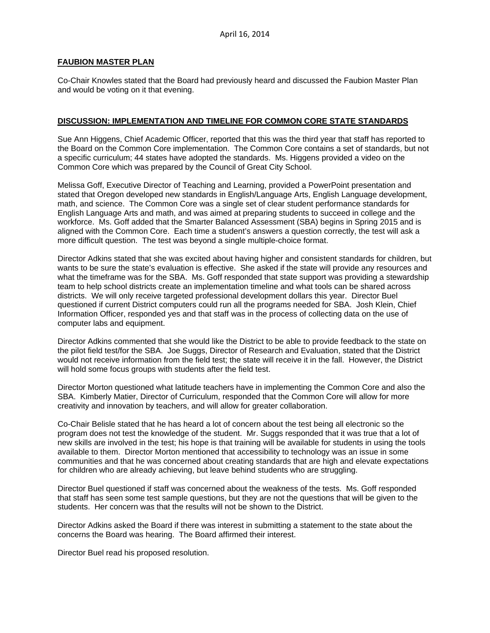#### **FAUBION MASTER PLAN**

Co-Chair Knowles stated that the Board had previously heard and discussed the Faubion Master Plan and would be voting on it that evening.

### **DISCUSSION: IMPLEMENTATION AND TIMELINE FOR COMMON CORE STATE STANDARDS**

Sue Ann Higgens, Chief Academic Officer, reported that this was the third year that staff has reported to the Board on the Common Core implementation. The Common Core contains a set of standards, but not a specific curriculum; 44 states have adopted the standards. Ms. Higgens provided a video on the Common Core which was prepared by the Council of Great City School.

Melissa Goff, Executive Director of Teaching and Learning, provided a PowerPoint presentation and stated that Oregon developed new standards in English/Language Arts, English Language development, math, and science. The Common Core was a single set of clear student performance standards for English Language Arts and math, and was aimed at preparing students to succeed in college and the workforce. Ms. Goff added that the Smarter Balanced Assessment (SBA) begins in Spring 2015 and is aligned with the Common Core. Each time a student's answers a question correctly, the test will ask a more difficult question. The test was beyond a single multiple-choice format.

Director Adkins stated that she was excited about having higher and consistent standards for children, but wants to be sure the state's evaluation is effective. She asked if the state will provide any resources and what the timeframe was for the SBA. Ms. Goff responded that state support was providing a stewardship team to help school districts create an implementation timeline and what tools can be shared across districts. We will only receive targeted professional development dollars this year. Director Buel questioned if current District computers could run all the programs needed for SBA. Josh Klein, Chief Information Officer, responded yes and that staff was in the process of collecting data on the use of computer labs and equipment.

Director Adkins commented that she would like the District to be able to provide feedback to the state on the pilot field test/for the SBA. Joe Suggs, Director of Research and Evaluation, stated that the District would not receive information from the field test; the state will receive it in the fall. However, the District will hold some focus groups with students after the field test.

Director Morton questioned what latitude teachers have in implementing the Common Core and also the SBA. Kimberly Matier, Director of Curriculum, responded that the Common Core will allow for more creativity and innovation by teachers, and will allow for greater collaboration.

Co-Chair Belisle stated that he has heard a lot of concern about the test being all electronic so the program does not test the knowledge of the student. Mr. Suggs responded that it was true that a lot of new skills are involved in the test; his hope is that training will be available for students in using the tools available to them. Director Morton mentioned that accessibility to technology was an issue in some communities and that he was concerned about creating standards that are high and elevate expectations for children who are already achieving, but leave behind students who are struggling.

Director Buel questioned if staff was concerned about the weakness of the tests. Ms. Goff responded that staff has seen some test sample questions, but they are not the questions that will be given to the students. Her concern was that the results will not be shown to the District.

Director Adkins asked the Board if there was interest in submitting a statement to the state about the concerns the Board was hearing. The Board affirmed their interest.

Director Buel read his proposed resolution.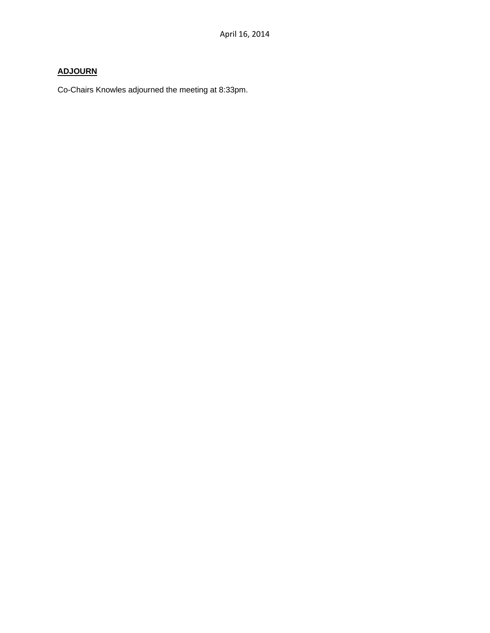# **ADJOURN**

Co-Chairs Knowles adjourned the meeting at 8:33pm.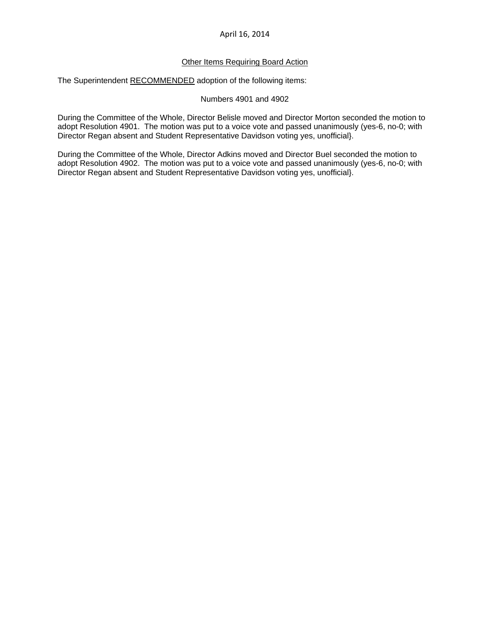## April 16, 2014

### Other Items Requiring Board Action

The Superintendent RECOMMENDED adoption of the following items:

#### Numbers 4901 and 4902

During the Committee of the Whole, Director Belisle moved and Director Morton seconded the motion to adopt Resolution 4901. The motion was put to a voice vote and passed unanimously (yes-6, no-0; with Director Regan absent and Student Representative Davidson voting yes, unofficial}.

During the Committee of the Whole, Director Adkins moved and Director Buel seconded the motion to adopt Resolution 4902. The motion was put to a voice vote and passed unanimously (yes-6, no-0; with Director Regan absent and Student Representative Davidson voting yes, unofficial}.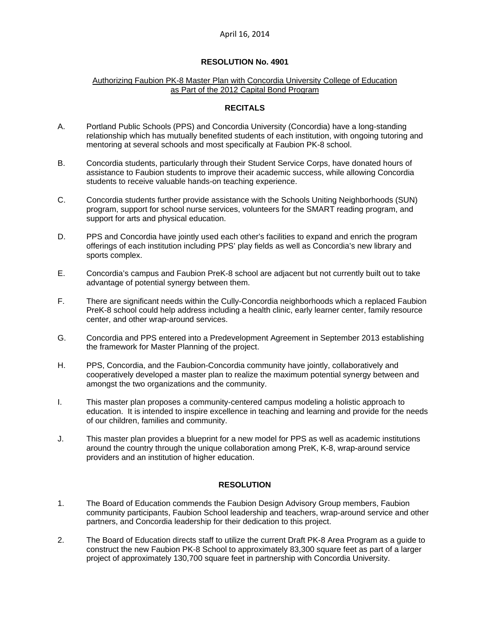## April 16, 2014

#### **RESOLUTION No. 4901**

#### Authorizing Faubion PK-8 Master Plan with Concordia University College of Education as Part of the 2012 Capital Bond Program

## **RECITALS**

- A. Portland Public Schools (PPS) and Concordia University (Concordia) have a long-standing relationship which has mutually benefited students of each institution, with ongoing tutoring and mentoring at several schools and most specifically at Faubion PK-8 school.
- B. Concordia students, particularly through their Student Service Corps, have donated hours of assistance to Faubion students to improve their academic success, while allowing Concordia students to receive valuable hands-on teaching experience.
- C. Concordia students further provide assistance with the Schools Uniting Neighborhoods (SUN) program, support for school nurse services, volunteers for the SMART reading program, and support for arts and physical education.
- D. PPS and Concordia have jointly used each other's facilities to expand and enrich the program offerings of each institution including PPS' play fields as well as Concordia's new library and sports complex.
- E. Concordia's campus and Faubion PreK-8 school are adjacent but not currently built out to take advantage of potential synergy between them.
- F. There are significant needs within the Cully-Concordia neighborhoods which a replaced Faubion PreK-8 school could help address including a health clinic, early learner center, family resource center, and other wrap-around services.
- G. Concordia and PPS entered into a Predevelopment Agreement in September 2013 establishing the framework for Master Planning of the project.
- H. PPS, Concordia, and the Faubion-Concordia community have jointly, collaboratively and cooperatively developed a master plan to realize the maximum potential synergy between and amongst the two organizations and the community.
- I. This master plan proposes a community-centered campus modeling a holistic approach to education. It is intended to inspire excellence in teaching and learning and provide for the needs of our children, families and community.
- J. This master plan provides a blueprint for a new model for PPS as well as academic institutions around the country through the unique collaboration among PreK, K-8, wrap-around service providers and an institution of higher education.

# **RESOLUTION**

- 1. The Board of Education commends the Faubion Design Advisory Group members, Faubion community participants, Faubion School leadership and teachers, wrap-around service and other partners, and Concordia leadership for their dedication to this project.
- 2. The Board of Education directs staff to utilize the current Draft PK-8 Area Program as a guide to construct the new Faubion PK-8 School to approximately 83,300 square feet as part of a larger project of approximately 130,700 square feet in partnership with Concordia University.